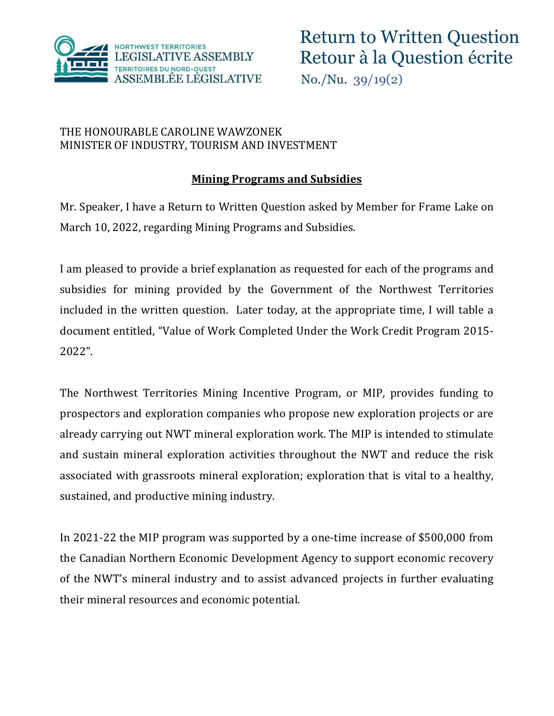

# THE HONOURABLE CAROLINE WAWZONEK MINISTER OF INDUSTRY, TOURISM AND INVESTMENT

# **Mining Programs and Subsidies**

Mr. Speaker, I have a Return to Written Question asked by Member for Frame Lake on March 10, 2022, regarding Mining Programs and Subsidies.

I am pleased to provide a brief explanation as requested for each of the programs and subsidies for mining provided by the Government of the Northwest Territories included in the written question. Later today, at the appropriate time, I will table a document entitled, "Value of Work Completed Under the Work Credit Program 2015- 2022".

The Northwest Territories Mining Incentive Program, or MIP, provides funding to prospectors and exploration companies who propose new exploration projects or are already carrying out NWT mineral exploration work. The MIP is intended to stimulate and sustain mineral exploration activities throughout the NWT and reduce the risk associated with grassroots mineral exploration; exploration that is vital to a healthy, sustained, and productive mining industry.

In 2021-22 the MIP program was supported by a one-time increase of \$500,000 from the Canadian Northern Economic Development Agency to support economic recovery of the NWT's mineral industry and to assist advanced projects in further evaluating their mineral resources and economic potential.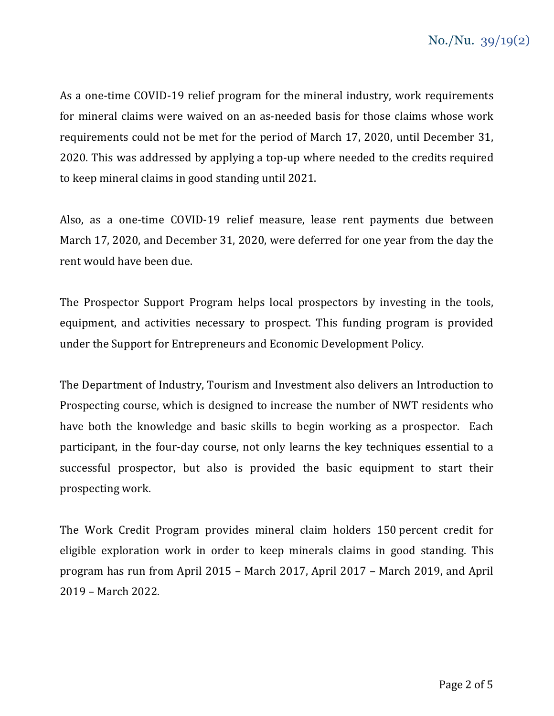As a one-time COVID-19 relief program for the mineral industry, work requirements for mineral claims were waived on an as-needed basis for those claims whose work requirements could not be met for the period of March 17, 2020, until December 31, 2020. This was addressed by applying a top-up where needed to the credits required to keep mineral claims in good standing until 2021.

Also, as a one-time COVID-19 relief measure, lease rent payments due between March 17, 2020, and December 31, 2020, were deferred for one year from the day the rent would have been due.

The Prospector Support Program helps local prospectors by investing in the tools, equipment, and activities necessary to prospect. This funding program is provided under the Support for Entrepreneurs and Economic Development Policy.

The Department of Industry, Tourism and Investment also delivers an Introduction to Prospecting course, which is designed to increase the number of NWT residents who have both the knowledge and basic skills to begin working as a prospector. Each participant, in the four-day course, not only learns the key techniques essential to a successful prospector, but also is provided the basic equipment to start their prospecting work.

The Work Credit Program provides mineral claim holders 150 percent credit for eligible exploration work in order to keep minerals claims in good standing. This program has run from April 2015 – March 2017, April 2017 – March 2019, and April 2019 – March 2022.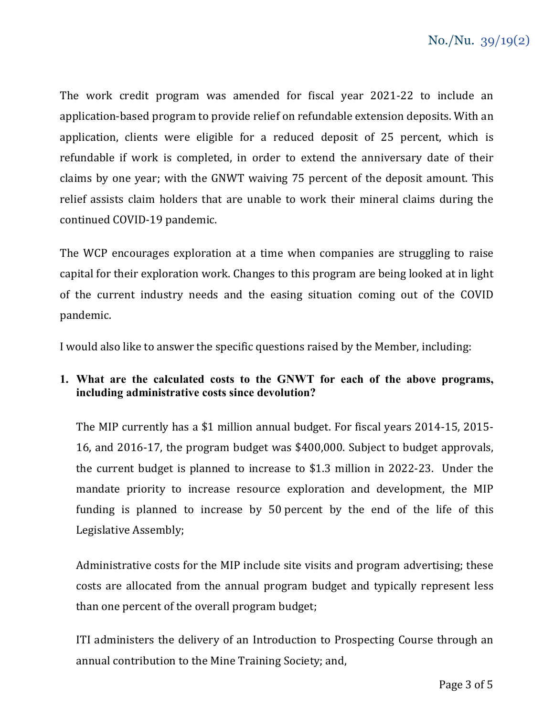The work credit program was amended for fiscal year 2021-22 to include an application-based program to provide relief on refundable extension deposits. With an application, clients were eligible for a reduced deposit of 25 percent, which is refundable if work is completed, in order to extend the anniversary date of their claims by one year; with the GNWT waiving 75 percent of the deposit amount. This relief assists claim holders that are unable to work their mineral claims during the continued COVID-19 pandemic.

The WCP encourages exploration at a time when companies are struggling to raise capital for their exploration work. Changes to this program are being looked at in light of the current industry needs and the easing situation coming out of the COVID pandemic.

I would also like to answer the specific questions raised by the Member, including:

# **1. What are the calculated costs to the GNWT for each of the above programs, including administrative costs since devolution?**

The MIP currently has a \$1 million annual budget. For fiscal years 2014-15, 2015- 16, and 2016-17, the program budget was \$400,000. Subject to budget approvals, the current budget is planned to increase to \$1.3 million in 2022-23. Under the mandate priority to increase resource exploration and development, the MIP funding is planned to increase by 50 percent by the end of the life of this Legislative Assembly;

Administrative costs for the MIP include site visits and program advertising; these costs are allocated from the annual program budget and typically represent less than one percent of the overall program budget;

ITI administers the delivery of an Introduction to Prospecting Course through an annual contribution to the Mine Training Society; and,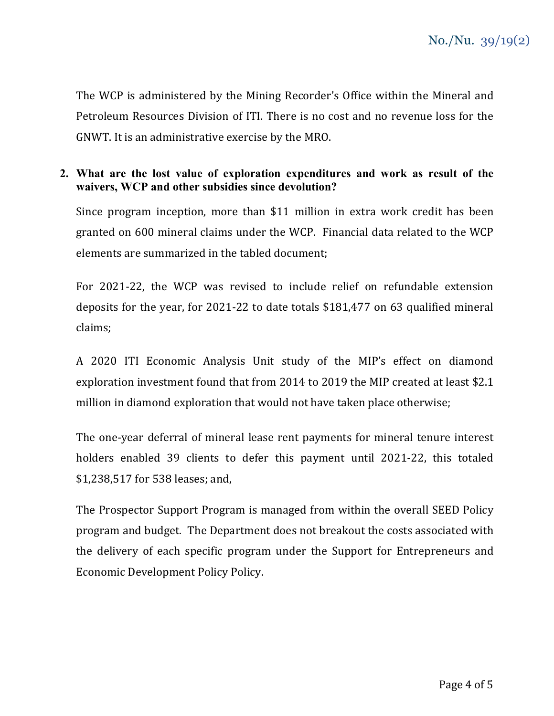The WCP is administered by the Mining Recorder's Office within the Mineral and Petroleum Resources Division of ITI. There is no cost and no revenue loss for the GNWT. It is an administrative exercise by the MRO.

#### **2. What are the lost value of exploration expenditures and work as result of the waivers, WCP and other subsidies since devolution?**

Since program inception, more than \$11 million in extra work credit has been granted on 600 mineral claims under the WCP. Financial data related to the WCP elements are summarized in the tabled document;

For 2021-22, the WCP was revised to include relief on refundable extension deposits for the year, for 2021-22 to date totals \$181,477 on 63 qualified mineral claims;

A 2020 ITI Economic Analysis Unit study of the MIP's effect on diamond exploration investment found that from 2014 to 2019 the MIP created at least \$2.1 million in diamond exploration that would not have taken place otherwise;

The one-year deferral of mineral lease rent payments for mineral tenure interest holders enabled 39 clients to defer this payment until 2021-22, this totaled \$1,238,517 for 538 leases; and,

The Prospector Support Program is managed from within the overall SEED Policy program and budget. The Department does not breakout the costs associated with the delivery of each specific program under the Support for Entrepreneurs and Economic Development Policy Policy.